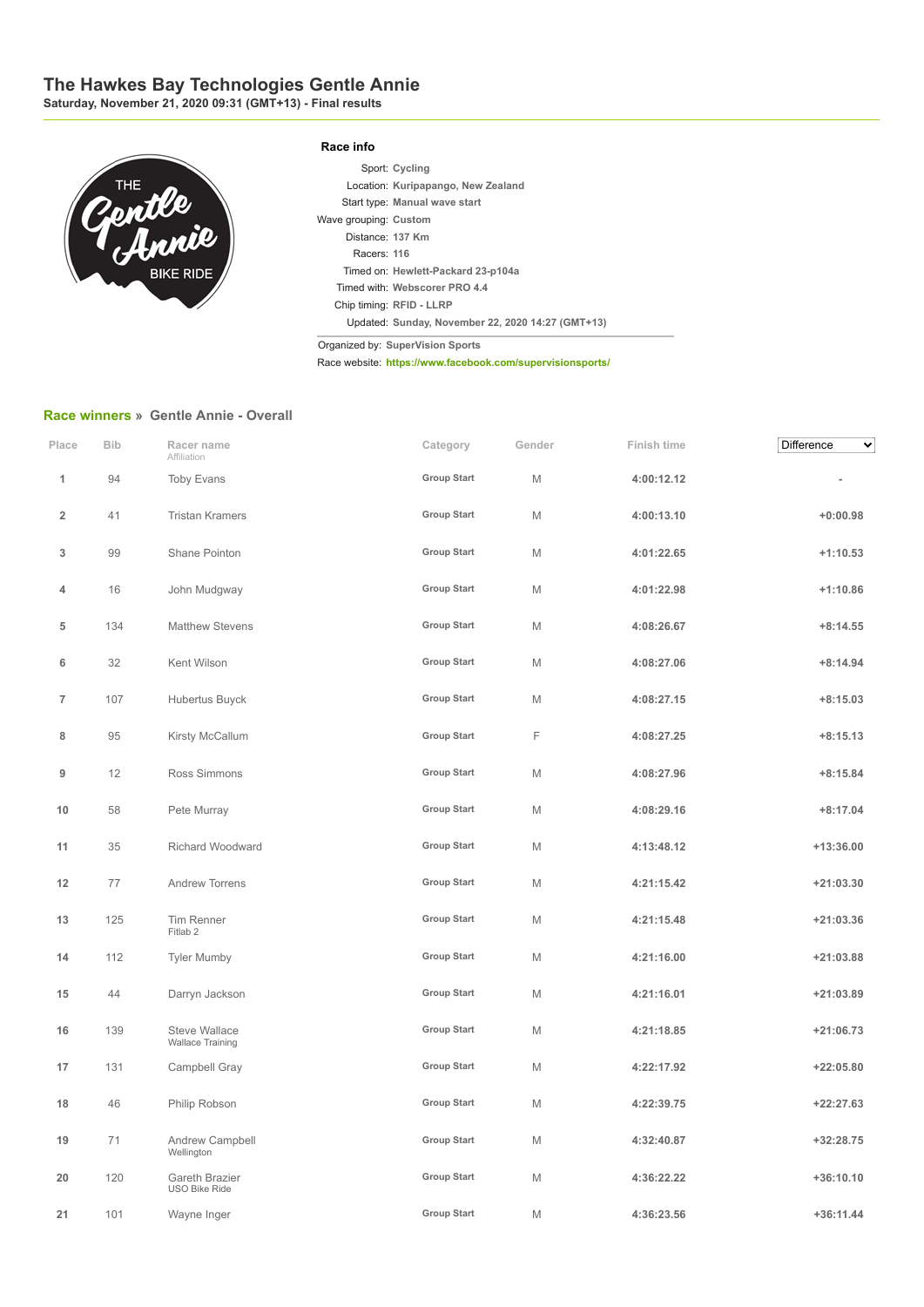## **The Hawkes Bay Technologies Gentle Annie**

**Saturday, November 21, 2020 09:31 (GMT+13) - Final results**



|                       | Sport: Cycling                                    |
|-----------------------|---------------------------------------------------|
|                       | Location: Kuripapango, New Zealand                |
|                       | Start type: Manual wave start                     |
| Wave grouping: Custom |                                                   |
| Distance: 137 Km      |                                                   |
| Racers: 116           |                                                   |
|                       | Timed on: Hewlett-Packard 23-p104a                |
|                       | Timed with: Webscorer PRO 4.4                     |
|                       | Chip timing: RFID - LLRP                          |
|                       | Updated: Sunday, November 22, 2020 14:27 (GMT+13) |

Organized by: **SuperVision Sports**

Race website: **https://www.facebook.com/supervisionsports/**

## **Race winners » Gentle Annie - Overall**

| Place          | <b>Bib</b> | Racer name<br>Affiliation                       | Category           | Gender | Finish time | Difference<br>✔ |
|----------------|------------|-------------------------------------------------|--------------------|--------|-------------|-----------------|
| 1              | 94         | <b>Toby Evans</b>                               | <b>Group Start</b> | M      | 4:00:12.12  |                 |
| $\overline{2}$ | 41         | <b>Tristan Kramers</b>                          | <b>Group Start</b> | M      | 4:00:13.10  | $+0:00.98$      |
| 3              | 99         | Shane Pointon                                   | <b>Group Start</b> | M      | 4:01:22.65  | $+1:10.53$      |
| 4              | 16         | John Mudgway                                    | <b>Group Start</b> | M      | 4:01:22.98  | $+1:10.86$      |
| 5              | 134        | <b>Matthew Stevens</b>                          | <b>Group Start</b> | M      | 4:08:26.67  | $+8:14.55$      |
| 6              | 32         | Kent Wilson                                     | <b>Group Start</b> | M      | 4:08:27.06  | $+8:14.94$      |
| $\overline{7}$ | 107        | Hubertus Buyck                                  | <b>Group Start</b> | M      | 4:08:27.15  | $+8:15.03$      |
| 8              | 95         | Kirsty McCallum                                 | <b>Group Start</b> | F      | 4:08:27.25  | $+8:15.13$      |
| 9              | 12         | Ross Simmons                                    | <b>Group Start</b> | M      | 4:08:27.96  | $+8:15.84$      |
| 10             | 58         | Pete Murray                                     | <b>Group Start</b> | M      | 4:08:29.16  | $+8:17.04$      |
| 11             | 35         | Richard Woodward                                | <b>Group Start</b> | M      | 4:13:48.12  | $+13:36.00$     |
| 12             | 77         | Andrew Torrens                                  | <b>Group Start</b> | M      | 4:21:15.42  | $+21:03.30$     |
| 13             | 125        | Tim Renner<br>Fitlab <sub>2</sub>               | <b>Group Start</b> | M      | 4:21:15.48  | $+21:03.36$     |
| 14             | 112        | <b>Tyler Mumby</b>                              | <b>Group Start</b> | M      | 4:21:16.00  | $+21:03.88$     |
| 15             | 44         | Darryn Jackson                                  | <b>Group Start</b> | M      | 4:21:16.01  | $+21:03.89$     |
| 16             | 139        | <b>Steve Wallace</b><br><b>Wallace Training</b> | <b>Group Start</b> | M      | 4:21:18.85  | $+21:06.73$     |
| 17             | 131        | Campbell Gray                                   | <b>Group Start</b> | M      | 4:22:17.92  | $+22:05.80$     |
| 18             | 46         | Philip Robson                                   | <b>Group Start</b> | M      | 4:22:39.75  | $+22:27.63$     |
| 19             | 71         | Andrew Campbell<br>Wellington                   | <b>Group Start</b> | M      | 4:32:40.87  | $+32:28.75$     |
| 20             | 120        | Gareth Brazier<br><b>USO Bike Ride</b>          | <b>Group Start</b> | M      | 4:36:22.22  | $+36:10.10$     |
| 21             | 101        | Wayne Inger                                     | <b>Group Start</b> | M      | 4:36:23.56  | $+36:11.44$     |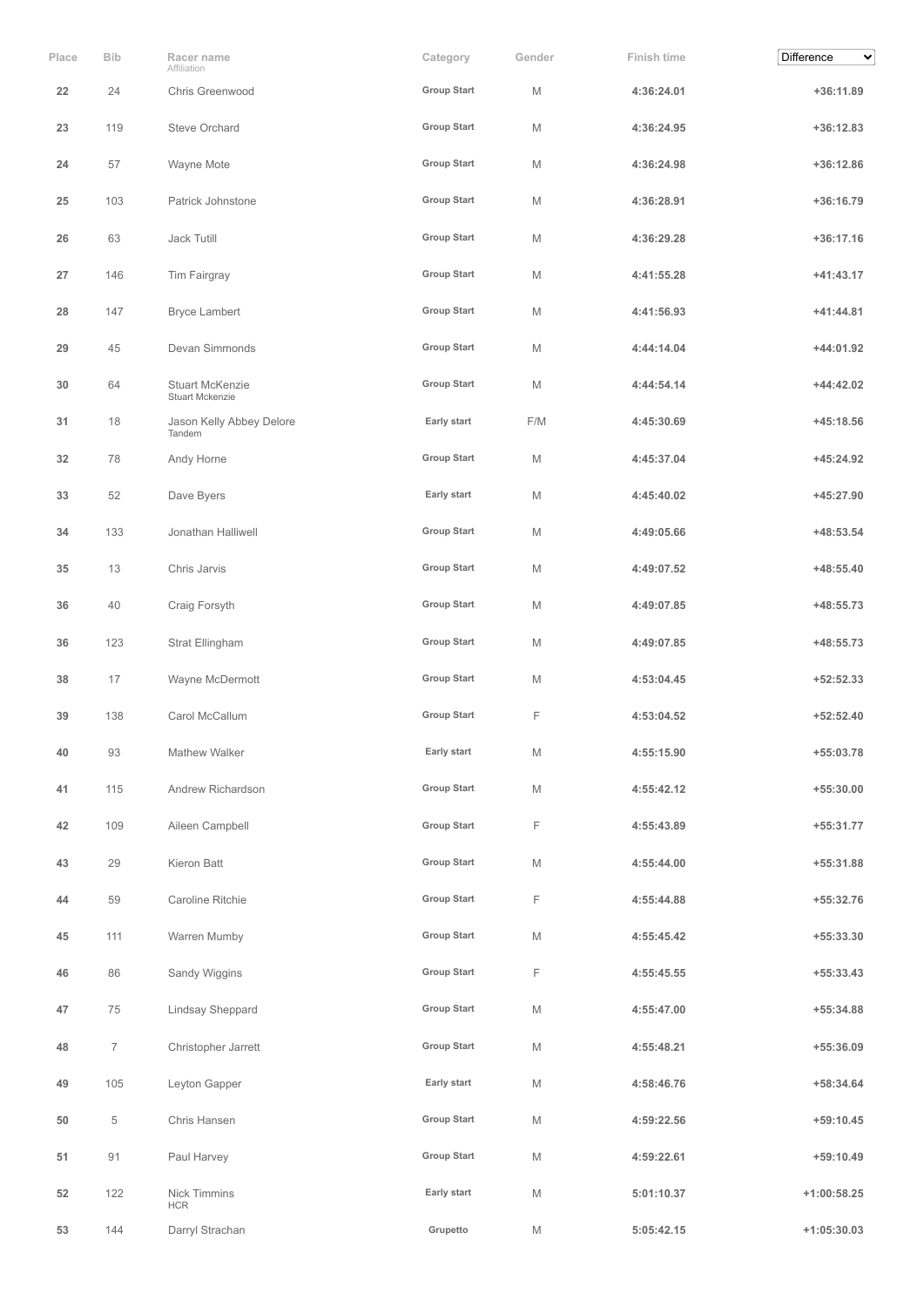| Place | <b>Bib</b>     | Racer name<br>Affiliation                 | Category           | Gender      | Finish time | Difference<br>$\checkmark$ |
|-------|----------------|-------------------------------------------|--------------------|-------------|-------------|----------------------------|
| 22    | 24             | Chris Greenwood                           | <b>Group Start</b> | M           | 4:36:24.01  | $+36:11.89$                |
| 23    | 119            | <b>Steve Orchard</b>                      | <b>Group Start</b> | M           | 4:36:24.95  | $+36:12.83$                |
| 24    | 57             | Wayne Mote                                | <b>Group Start</b> | M           | 4:36:24.98  | $+36:12.86$                |
| 25    | 103            | Patrick Johnstone                         | <b>Group Start</b> | M           | 4:36:28.91  | +36:16.79                  |
| 26    | 63             | Jack Tutill                               | <b>Group Start</b> | M           | 4:36:29.28  | $+36:17.16$                |
| 27    | 146            | Tim Fairgray                              | <b>Group Start</b> | M           | 4:41:55.28  | +41:43.17                  |
| 28    | 147            | <b>Bryce Lambert</b>                      | <b>Group Start</b> | M           | 4:41:56.93  | $+41:44.81$                |
| 29    | 45             | Devan Simmonds                            | <b>Group Start</b> | M           | 4:44:14.04  | +44:01.92                  |
| 30    | 64             | <b>Stuart McKenzie</b><br>Stuart Mckenzie | <b>Group Start</b> | M           | 4:44:54.14  | $+44:42.02$                |
| 31    | 18             | Jason Kelly Abbey Delore<br>Tandem        | Early start        | F/M         | 4:45:30.69  | +45:18.56                  |
| 32    | 78             | Andy Horne                                | <b>Group Start</b> | M           | 4:45:37.04  | $+45:24.92$                |
| 33    | 52             | Dave Byers                                | Early start        | M           | 4:45:40.02  | +45:27.90                  |
| 34    | 133            | Jonathan Halliwell                        | <b>Group Start</b> | M           | 4:49:05.66  | +48:53.54                  |
| 35    | 13             | Chris Jarvis                              | <b>Group Start</b> | M           | 4:49:07.52  | $+48:55.40$                |
| 36    | 40             | Craig Forsyth                             | <b>Group Start</b> | M           | 4:49:07.85  | +48:55.73                  |
| 36    | 123            | Strat Ellingham                           | <b>Group Start</b> | M           | 4:49:07.85  | +48:55.73                  |
| 38    | 17             | Wayne McDermott                           | <b>Group Start</b> | M           | 4:53:04.45  | $+52:52.33$                |
| 39    | 138            | Carol McCallum                            | <b>Group Start</b> | F           | 4:53:04.52  | $+52:52.40$                |
| 40    | 93             | Mathew Walker                             | Early start        | M           | 4:55:15.90  | +55:03.78                  |
| 41    | 115            | Andrew Richardson                         | <b>Group Start</b> | M           | 4:55:42.12  | $+55:30.00$                |
| 42    | 109            | Aileen Campbell                           | <b>Group Start</b> | F           | 4:55:43.89  | +55:31.77                  |
| 43    | 29             | Kieron Batt                               | <b>Group Start</b> | М           | 4:55:44.00  | +55:31.88                  |
| 44    | 59             | Caroline Ritchie                          | <b>Group Start</b> | F           | 4:55:44.88  | +55:32.76                  |
| 45    | 111            | Warren Mumby                              | <b>Group Start</b> | М           | 4:55:45.42  | +55:33.30                  |
| 46    | 86             | Sandy Wiggins                             | <b>Group Start</b> | F           | 4:55:45.55  | $+55:33.43$                |
| 47    | 75             | Lindsay Sheppard                          | <b>Group Start</b> | М           | 4:55:47.00  | +55:34.88                  |
| 48    | $\overline{7}$ | Christopher Jarrett                       | <b>Group Start</b> | M           | 4:55:48.21  | +55:36.09                  |
| 49    | 105            | Leyton Gapper                             | Early start        | М           | 4:58:46.76  | +58:34.64                  |
| 50    | 5              | Chris Hansen                              | <b>Group Start</b> | М           | 4:59:22.56  | $+59:10.45$                |
| 51    | 91             | Paul Harvey                               | <b>Group Start</b> | M           | 4:59:22.61  | $+59:10.49$                |
| 52    | 122            | Nick Timmins<br><b>HCR</b>                | Early start        | $\mathbb M$ | 5:01:10.37  | $+1:00:58.25$              |
| 53    | 144            | Darryl Strachan                           | Grupetto           | М           | 5:05:42.15  | $+1:05:30.03$              |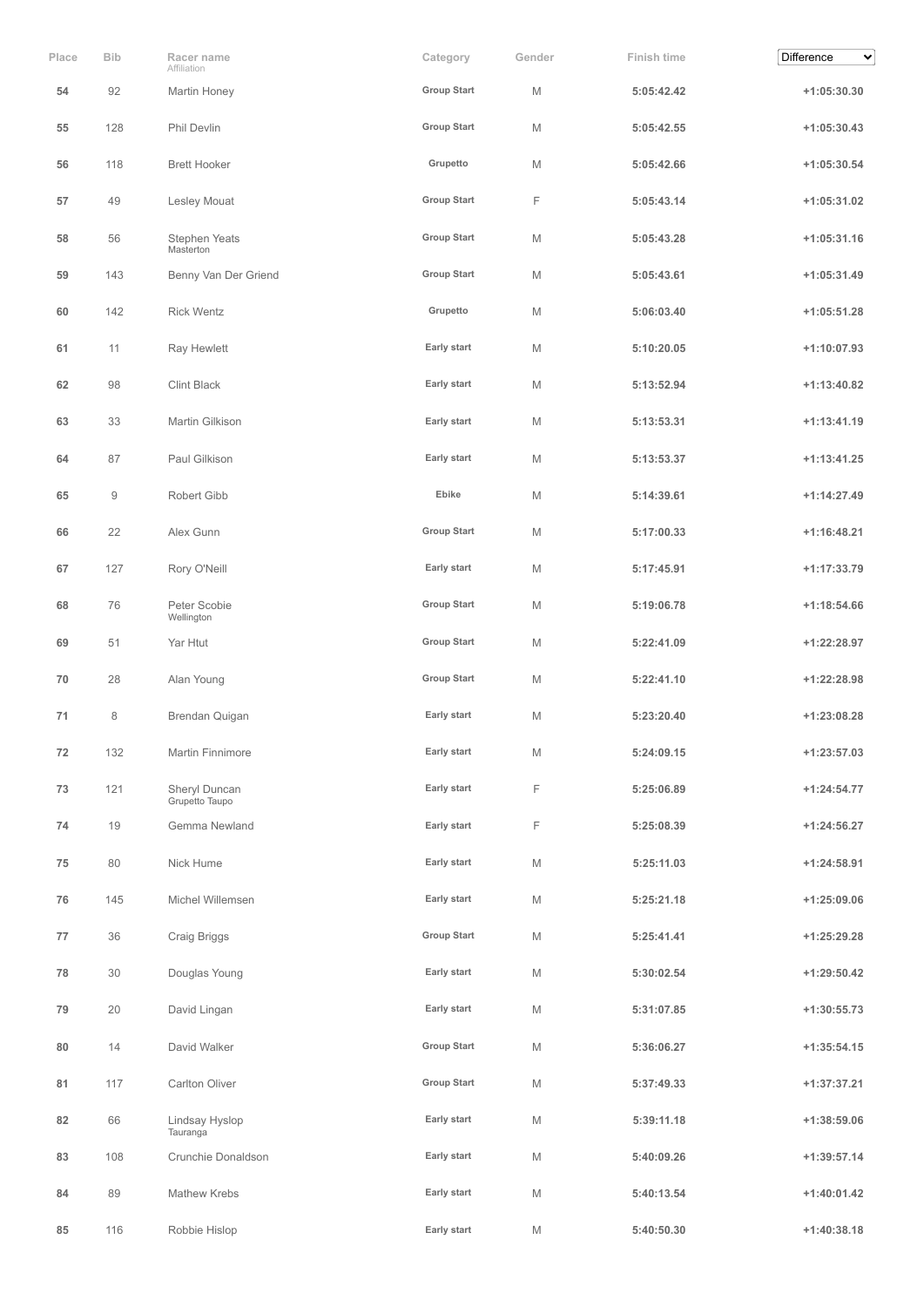| Place | <b>Bib</b> | Racer name<br>Affiliation       | Category           | Gender | Finish time | Difference<br>$\checkmark$ |
|-------|------------|---------------------------------|--------------------|--------|-------------|----------------------------|
| 54    | 92         | Martin Honey                    | <b>Group Start</b> | M      | 5:05:42.42  | $+1:05:30.30$              |
| 55    | 128        | Phil Devlin                     | <b>Group Start</b> | M      | 5:05:42.55  | $+1:05:30.43$              |
| 56    | 118        | <b>Brett Hooker</b>             | Grupetto           | M      | 5:05:42.66  | $+1:05:30.54$              |
| 57    | 49         | Lesley Mouat                    | <b>Group Start</b> | F      | 5:05:43.14  | $+1:05:31.02$              |
| 58    | 56         | Stephen Yeats<br>Masterton      | <b>Group Start</b> | M      | 5:05:43.28  | $+1:05:31.16$              |
| 59    | 143        | Benny Van Der Griend            | <b>Group Start</b> | M      | 5:05:43.61  | $+1:05:31.49$              |
| 60    | 142        | <b>Rick Wentz</b>               | Grupetto           | M      | 5:06:03.40  | $+1:05:51.28$              |
| 61    | 11         | Ray Hewlett                     | Early start        | M      | 5:10:20.05  | $+1:10:07.93$              |
| 62    | 98         | <b>Clint Black</b>              | Early start        | M      | 5:13:52.94  | $+1:13:40.82$              |
| 63    | 33         | Martin Gilkison                 | Early start        | M      | 5:13:53.31  | $+1:13:41.19$              |
| 64    | 87         | Paul Gilkison                   | Early start        | M      | 5:13:53.37  | $+1:13:41.25$              |
| 65    | $\hbox{9}$ | Robert Gibb                     | Ebike              | M      | 5:14:39.61  | $+1:14:27.49$              |
| 66    | 22         | Alex Gunn                       | <b>Group Start</b> | M      | 5:17:00.33  | $+1:16:48.21$              |
| 67    | 127        | Rory O'Neill                    | Early start        | M      | 5:17:45.91  | $+1:17:33.79$              |
| 68    | 76         | Peter Scobie<br>Wellington      | <b>Group Start</b> | M      | 5:19:06.78  | $+1:18:54.66$              |
| 69    | 51         | Yar Htut                        | <b>Group Start</b> | M      | 5:22:41.09  | +1:22:28.97                |
| 70    | 28         | Alan Young                      | <b>Group Start</b> | M      | 5:22:41.10  | $+1:22:28.98$              |
| 71    | 8          | Brendan Quigan                  | Early start        | M      | 5:23:20.40  | +1:23:08.28                |
| 72    | 132        | Martin Finnimore                | Early start        | M      | 5:24:09.15  | $+1:23:57.03$              |
| 73    | 121        | Sheryl Duncan<br>Grupetto Taupo | Early start        | F      | 5:25:06.89  | $+1:24:54.77$              |
| 74    | 19         | Gemma Newland                   | Early start        | F      | 5:25:08.39  | $+1:24:56.27$              |
| 75    | 80         | Nick Hume                       | Early start        | M      | 5:25:11.03  | $+1:24:58.91$              |
| 76    | 145        | Michel Willemsen                | Early start        | М      | 5:25:21.18  | $+1:25:09.06$              |
| 77    | 36         | Craig Briggs                    | <b>Group Start</b> | М      | 5:25:41.41  | $+1:25:29.28$              |
| 78    | 30         | Douglas Young                   | Early start        | М      | 5:30:02.54  | $+1:29:50.42$              |
| 79    | 20         | David Lingan                    | Early start        | М      | 5:31:07.85  | $+1:30:55.73$              |
| 80    | 14         | David Walker                    | <b>Group Start</b> | M      | 5:36:06.27  | $+1:35:54.15$              |
| 81    | 117        | Carlton Oliver                  | <b>Group Start</b> | M      | 5:37:49.33  | $+1:37:37.21$              |
| 82    | 66         | Lindsay Hyslop<br>Tauranga      | Early start        | M      | 5:39:11.18  | $+1:38:59.06$              |
| 83    | 108        | Crunchie Donaldson              | Early start        | M      | 5:40:09.26  | $+1:39:57.14$              |
| 84    | 89         | Mathew Krebs                    | Early start        | M      | 5:40:13.54  | $+1:40:01.42$              |
| 85    | 116        | Robbie Hislop                   | Early start        | M      | 5:40:50.30  | $+1:40:38.18$              |